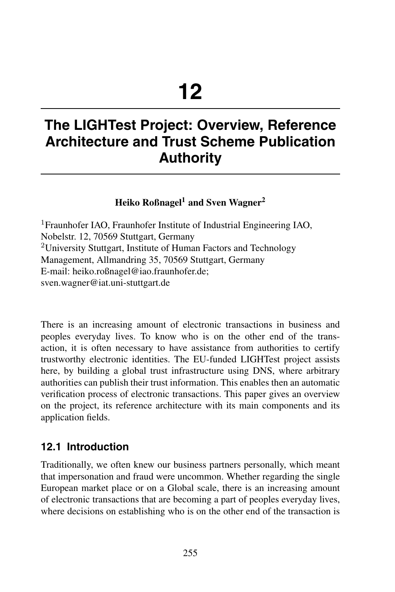# **The LIGHTest Project: Overview, Reference Architecture and Trust Scheme Publication Authority**

**Heiko Roßnagel<sup>1</sup> and Sven Wagner<sup>2</sup>**

<sup>1</sup>Fraunhofer IAO, Fraunhofer Institute of Industrial Engineering IAO, Nobelstr. 12, 70569 Stuttgart, Germany <sup>2</sup>University Stuttgart, Institute of Human Factors and Technology Management, Allmandring 35, 70569 Stuttgart, Germany E-mail: heiko.roßnagel@iao.fraunhofer.de; sven.wagner@iat.uni-stuttgart.de

There is an increasing amount of electronic transactions in business and peoples everyday lives. To know who is on the other end of the transaction, it is often necessary to have assistance from authorities to certify trustworthy electronic identities. The EU-funded LIGHTest project assists here, by building a global trust infrastructure using DNS, where arbitrary authorities can publish their trust information. This enables then an automatic verification process of electronic transactions. This paper gives an overview on the project, its reference architecture with its main components and its application fields.

# **12.1 Introduction**

Traditionally, we often knew our business partners personally, which meant that impersonation and fraud were uncommon. Whether regarding the single European market place or on a Global scale, there is an increasing amount of electronic transactions that are becoming a part of peoples everyday lives, where decisions on establishing who is on the other end of the transaction is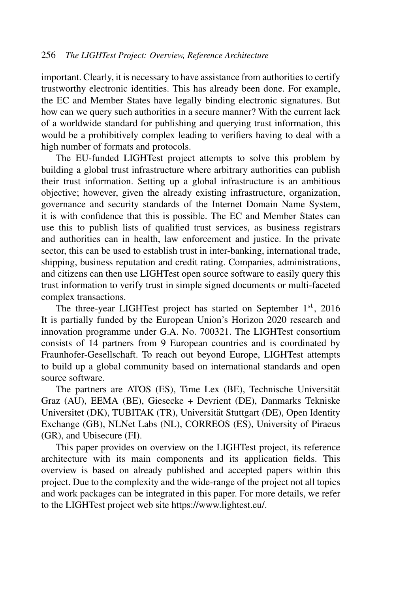important. Clearly, it is necessary to have assistance from authorities to certify trustworthy electronic identities. This has already been done. For example, the EC and Member States have legally binding electronic signatures. But how can we query such authorities in a secure manner? With the current lack of a worldwide standard for publishing and querying trust information, this would be a prohibitively complex leading to verifiers having to deal with a high number of formats and protocols.

The EU-funded LIGHTest project attempts to solve this problem by building a global trust infrastructure where arbitrary authorities can publish their trust information. Setting up a global infrastructure is an ambitious objective; however, given the already existing infrastructure, organization, governance and security standards of the Internet Domain Name System, it is with confidence that this is possible. The EC and Member States can use this to publish lists of qualified trust services, as business registrars and authorities can in health, law enforcement and justice. In the private sector, this can be used to establish trust in inter-banking, international trade, shipping, business reputation and credit rating. Companies, administrations, and citizens can then use LIGHTest open source software to easily query this trust information to verify trust in simple signed documents or multi-faceted complex transactions.

The three-year LIGHTest project has started on September  $1<sup>st</sup>$ , 2016 It is partially funded by the European Union's Horizon 2020 research and innovation programme under G.A. No. 700321. The LIGHTest consortium consists of 14 partners from 9 European countries and is coordinated by Fraunhofer-Gesellschaft. To reach out beyond Europe, LIGHTest attempts to build up a global community based on international standards and open source software.

The partners are ATOS (ES), Time Lex (BE), Technische Universität Graz (AU), EEMA (BE), Giesecke + Devrient (DE), Danmarks Tekniske Universitet (DK), TUBITAK (TR), Universität Stuttgart (DE), Open Identity Exchange (GB), NLNet Labs (NL), CORREOS (ES), University of Piraeus (GR), and Ubisecure (FI).

This paper provides on overview on the LIGHTest project, its reference architecture with its main components and its application fields. This overview is based on already published and accepted papers within this project. Due to the complexity and the wide-range of the project not all topics and work packages can be integrated in this paper. For more details, we refer to the LIGHTest project web site https://www.lightest.eu/.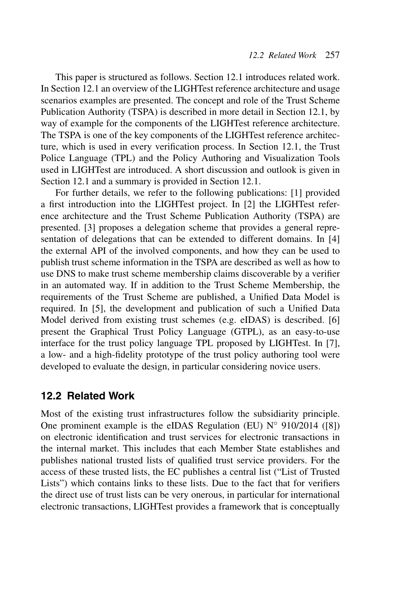This paper is structured as follows. Section 12.1 introduces related work. In Section 12.1 an overview of the LIGHTest reference architecture and usage scenarios examples are presented. The concept and role of the Trust Scheme Publication Authority (TSPA) is described in more detail in Section 12.1, by way of example for the components of the LIGHTest reference architecture. The TSPA is one of the key components of the LIGHTest reference architecture, which is used in every verification process. In Section 12.1, the Trust Police Language (TPL) and the Policy Authoring and Visualization Tools used in LIGHTest are introduced. A short discussion and outlook is given in Section 12.1 and a summary is provided in Section 12.1.

For further details, we refer to the following publications: [1] provided a first introduction into the LIGHTest project. In [2] the LIGHTest reference architecture and the Trust Scheme Publication Authority (TSPA) are presented. [3] proposes a delegation scheme that provides a general representation of delegations that can be extended to different domains. In [4] the external API of the involved components, and how they can be used to publish trust scheme information in the TSPA are described as well as how to use DNS to make trust scheme membership claims discoverable by a verifier in an automated way. If in addition to the Trust Scheme Membership, the requirements of the Trust Scheme are published, a Unified Data Model is required. In [5], the development and publication of such a Unified Data Model derived from existing trust schemes (e.g. eIDAS) is described. [6] present the Graphical Trust Policy Language (GTPL), as an easy-to-use interface for the trust policy language TPL proposed by LIGHTest. In [7], a low- and a high-fidelity prototype of the trust policy authoring tool were developed to evaluate the design, in particular considering novice users.

#### **12.2 Related Work**

Most of the existing trust infrastructures follow the subsidiarity principle. One prominent example is the eIDAS Regulation (EU)  $N^{\circ}$  910/2014 ([8]) on electronic identification and trust services for electronic transactions in the internal market. This includes that each Member State establishes and publishes national trusted lists of qualified trust service providers. For the access of these trusted lists, the EC publishes a central list ("List of Trusted Lists") which contains links to these lists. Due to the fact that for verifiers the direct use of trust lists can be very onerous, in particular for international electronic transactions, LIGHTest provides a framework that is conceptually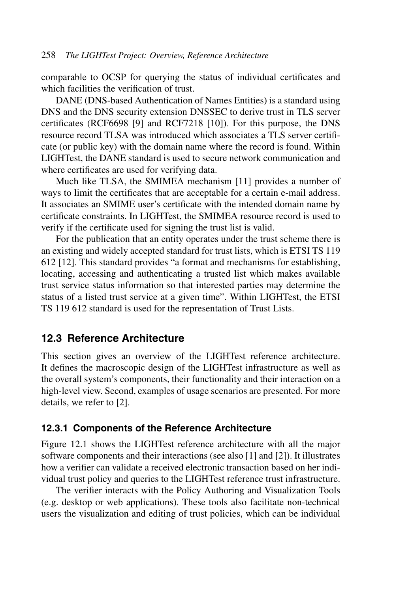comparable to OCSP for querying the status of individual certificates and which facilities the verification of trust.

DANE (DNS-based Authentication of Names Entities) is a standard using DNS and the DNS security extension DNSSEC to derive trust in TLS server certificates (RCF6698 [9] and RCF7218 [10]). For this purpose, the DNS resource record TLSA was introduced which associates a TLS server certificate (or public key) with the domain name where the record is found. Within LIGHTest, the DANE standard is used to secure network communication and where certificates are used for verifying data.

Much like TLSA, the SMIMEA mechanism [11] provides a number of ways to limit the certificates that are acceptable for a certain e-mail address. It associates an SMIME user's certificate with the intended domain name by certificate constraints. In LIGHTest, the SMIMEA resource record is used to verify if the certificate used for signing the trust list is valid.

For the publication that an entity operates under the trust scheme there is an existing and widely accepted standard for trust lists, which is ETSI TS 119 612 [12]. This standard provides "a format and mechanisms for establishing, locating, accessing and authenticating a trusted list which makes available trust service status information so that interested parties may determine the status of a listed trust service at a given time". Within LIGHTest, the ETSI TS 119 612 standard is used for the representation of Trust Lists.

# **12.3 Reference Architecture**

This section gives an overview of the LIGHTest reference architecture. It defines the macroscopic design of the LIGHTest infrastructure as well as the overall system's components, their functionality and their interaction on a high-level view. Second, examples of usage scenarios are presented. For more details, we refer to [2].

#### **12.3.1 Components of the Reference Architecture**

Figure 12.1 shows the LIGHTest reference architecture with all the major software components and their interactions (see also [1] and [2]). It illustrates how a verifier can validate a received electronic transaction based on her individual trust policy and queries to the LIGHTest reference trust infrastructure.

The verifier interacts with the Policy Authoring and Visualization Tools (e.g. desktop or web applications). These tools also facilitate non-technical users the visualization and editing of trust policies, which can be individual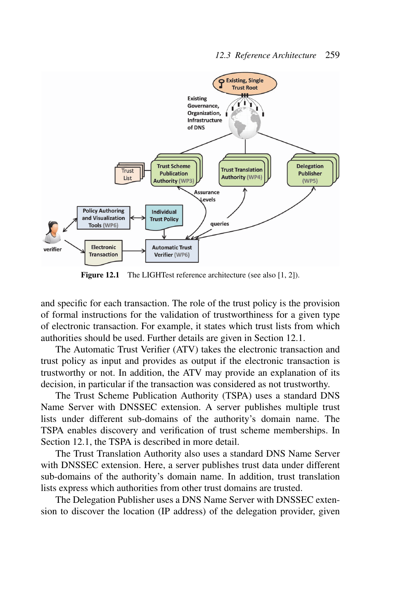

**Figure 12.1** The LIGHTest reference architecture (see also [1, 2]).

and specific for each transaction. The role of the trust policy is the provision of formal instructions for the validation of trustworthiness for a given type of electronic transaction. For example, it states which trust lists from which authorities should be used. Further details are given in Section 12.1.

The Automatic Trust Verifier (ATV) takes the electronic transaction and trust policy as input and provides as output if the electronic transaction is trustworthy or not. In addition, the ATV may provide an explanation of its decision, in particular if the transaction was considered as not trustworthy.

The Trust Scheme Publication Authority (TSPA) uses a standard DNS Name Server with DNSSEC extension. A server publishes multiple trust lists under different sub-domains of the authority's domain name. The TSPA enables discovery and verification of trust scheme memberships. In Section 12.1, the TSPA is described in more detail.

The Trust Translation Authority also uses a standard DNS Name Server with DNSSEC extension. Here, a server publishes trust data under different sub-domains of the authority's domain name. In addition, trust translation lists express which authorities from other trust domains are trusted.

The Delegation Publisher uses a DNS Name Server with DNSSEC extension to discover the location (IP address) of the delegation provider, given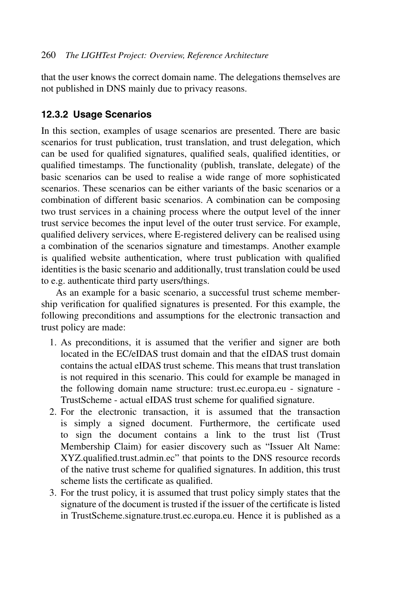that the user knows the correct domain name. The delegations themselves are not published in DNS mainly due to privacy reasons.

# **12.3.2 Usage Scenarios**

In this section, examples of usage scenarios are presented. There are basic scenarios for trust publication, trust translation, and trust delegation, which can be used for qualified signatures, qualified seals, qualified identities, or qualified timestamps. The functionality (publish, translate, delegate) of the basic scenarios can be used to realise a wide range of more sophisticated scenarios. These scenarios can be either variants of the basic scenarios or a combination of different basic scenarios. A combination can be composing two trust services in a chaining process where the output level of the inner trust service becomes the input level of the outer trust service. For example, qualified delivery services, where E-registered delivery can be realised using a combination of the scenarios signature and timestamps. Another example is qualified website authentication, where trust publication with qualified identities is the basic scenario and additionally, trust translation could be used to e.g. authenticate third party users/things.

As an example for a basic scenario, a successful trust scheme membership verification for qualified signatures is presented. For this example, the following preconditions and assumptions for the electronic transaction and trust policy are made:

- 1. As preconditions, it is assumed that the verifier and signer are both located in the EC/eIDAS trust domain and that the eIDAS trust domain contains the actual eIDAS trust scheme. This means that trust translation is not required in this scenario. This could for example be managed in the following domain name structure: trust.ec.europa.eu - signature - TrustScheme - actual eIDAS trust scheme for qualified signature.
- 2. For the electronic transaction, it is assumed that the transaction is simply a signed document. Furthermore, the certificate used to sign the document contains a link to the trust list (Trust Membership Claim) for easier discovery such as "Issuer Alt Name: XYZ.qualified.trust.admin.ec" that points to the DNS resource records of the native trust scheme for qualified signatures. In addition, this trust scheme lists the certificate as qualified.
- 3. For the trust policy, it is assumed that trust policy simply states that the signature of the document is trusted if the issuer of the certificate is listed in TrustScheme.signature.trust.ec.europa.eu. Hence it is published as a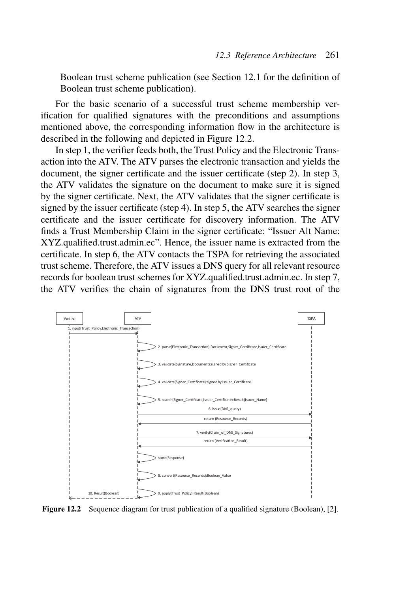Boolean trust scheme publication (see Section 12.1 for the definition of Boolean trust scheme publication).

For the basic scenario of a successful trust scheme membership verification for qualified signatures with the preconditions and assumptions mentioned above, the corresponding information flow in the architecture is described in the following and depicted in Figure 12.2.

In step 1, the verifier feeds both, the Trust Policy and the Electronic Transaction into the ATV. The ATV parses the electronic transaction and yields the document, the signer certificate and the issuer certificate (step 2). In step 3, the ATV validates the signature on the document to make sure it is signed by the signer certificate. Next, the ATV validates that the signer certificate is signed by the issuer certificate (step 4). In step 5, the ATV searches the signer certificate and the issuer certificate for discovery information. The ATV finds a Trust Membership Claim in the signer certificate: "Issuer Alt Name: XYZ.qualified.trust.admin.ec". Hence, the issuer name is extracted from the certificate. In step 6, the ATV contacts the TSPA for retrieving the associated trust scheme. Therefore, the ATV issues a DNS query for all relevant resource records for boolean trust schemes for XYZ.qualified.trust.admin.ec. In step 7, the ATV verifies the chain of signatures from the DNS trust root of the



**Figure 12.2** Sequence diagram for trust publication of a qualified signature (Boolean), [2].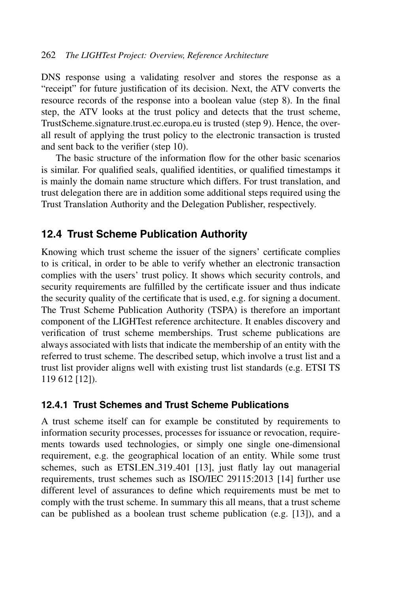DNS response using a validating resolver and stores the response as a "receipt" for future justification of its decision. Next, the ATV converts the resource records of the response into a boolean value (step 8). In the final step, the ATV looks at the trust policy and detects that the trust scheme, TrustScheme.signature.trust.ec.europa.eu is trusted (step 9). Hence, the overall result of applying the trust policy to the electronic transaction is trusted and sent back to the verifier (step 10).

The basic structure of the information flow for the other basic scenarios is similar. For qualified seals, qualified identities, or qualified timestamps it is mainly the domain name structure which differs. For trust translation, and trust delegation there are in addition some additional steps required using the Trust Translation Authority and the Delegation Publisher, respectively.

# **12.4 Trust Scheme Publication Authority**

Knowing which trust scheme the issuer of the signers' certificate complies to is critical, in order to be able to verify whether an electronic transaction complies with the users' trust policy. It shows which security controls, and security requirements are fulfilled by the certificate issuer and thus indicate the security quality of the certificate that is used, e.g. for signing a document. The Trust Scheme Publication Authority (TSPA) is therefore an important component of the LIGHTest reference architecture. It enables discovery and verification of trust scheme memberships. Trust scheme publications are always associated with lists that indicate the membership of an entity with the referred to trust scheme. The described setup, which involve a trust list and a trust list provider aligns well with existing trust list standards (e.g. ETSI TS 119 612 [12]).

## **12.4.1 Trust Schemes and Trust Scheme Publications**

A trust scheme itself can for example be constituted by requirements to information security processes, processes for issuance or revocation, requirements towards used technologies, or simply one single one-dimensional requirement, e.g. the geographical location of an entity. While some trust schemes, such as ETSLEN<sub>-319-401</sub> [13], just flatly lay out managerial requirements, trust schemes such as ISO/IEC 29115:2013 [14] further use different level of assurances to define which requirements must be met to comply with the trust scheme. In summary this all means, that a trust scheme can be published as a boolean trust scheme publication (e.g. [13]), and a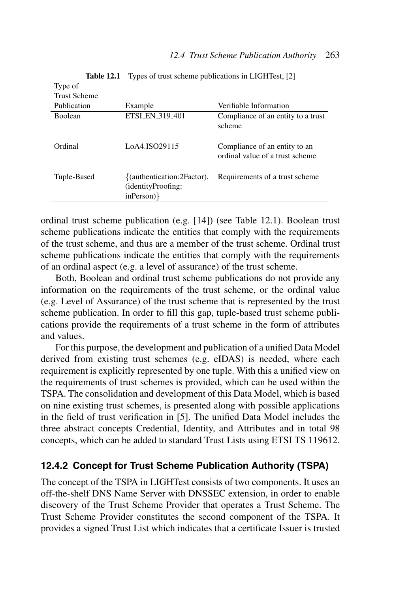| Type of             |                                                                  |                                                                  |
|---------------------|------------------------------------------------------------------|------------------------------------------------------------------|
| <b>Trust Scheme</b> |                                                                  |                                                                  |
| Publication         | Example                                                          | Verifiable Information                                           |
| <b>Boolean</b>      | ETSLEN_319_401                                                   | Compliance of an entity to a trust<br>scheme                     |
| Ordinal             | Lo <sub>A4</sub> .ISO <sub>29115</sub>                           | Compliance of an entity to an<br>ordinal value of a trust scheme |
| Tuple-Based         | {(authentication:2Factor),<br>(identityProofing:<br>$inPerson$ } | Requirements of a trust scheme.                                  |

**Table 12.1** Types of trust scheme publications in LIGHTest, [2]

ordinal trust scheme publication (e.g. [14]) (see Table 12.1). Boolean trust scheme publications indicate the entities that comply with the requirements of the trust scheme, and thus are a member of the trust scheme. Ordinal trust scheme publications indicate the entities that comply with the requirements of an ordinal aspect (e.g. a level of assurance) of the trust scheme.

Both, Boolean and ordinal trust scheme publications do not provide any information on the requirements of the trust scheme, or the ordinal value (e.g. Level of Assurance) of the trust scheme that is represented by the trust scheme publication. In order to fill this gap, tuple-based trust scheme publications provide the requirements of a trust scheme in the form of attributes and values.

For this purpose, the development and publication of a unified Data Model derived from existing trust schemes (e.g. eIDAS) is needed, where each requirement is explicitly represented by one tuple. With this a unified view on the requirements of trust schemes is provided, which can be used within the TSPA. The consolidation and development of this Data Model, which is based on nine existing trust schemes, is presented along with possible applications in the field of trust verification in [5]. The unified Data Model includes the three abstract concepts Credential, Identity, and Attributes and in total 98 concepts, which can be added to standard Trust Lists using ETSI TS 119612.

#### **12.4.2 Concept for Trust Scheme Publication Authority (TSPA)**

The concept of the TSPA in LIGHTest consists of two components. It uses an off-the-shelf DNS Name Server with DNSSEC extension, in order to enable discovery of the Trust Scheme Provider that operates a Trust Scheme. The Trust Scheme Provider constitutes the second component of the TSPA. It provides a signed Trust List which indicates that a certificate Issuer is trusted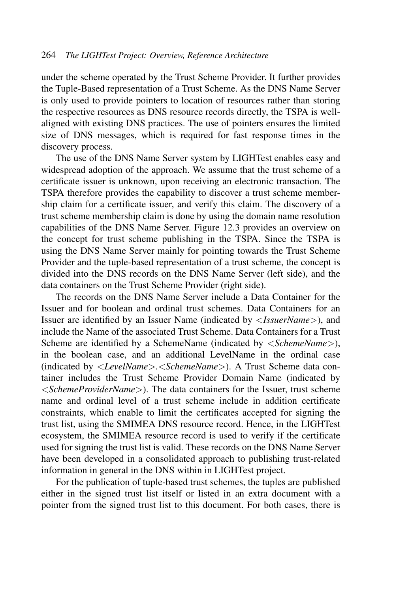under the scheme operated by the Trust Scheme Provider. It further provides the Tuple-Based representation of a Trust Scheme. As the DNS Name Server is only used to provide pointers to location of resources rather than storing the respective resources as DNS resource records directly, the TSPA is wellaligned with existing DNS practices. The use of pointers ensures the limited size of DNS messages, which is required for fast response times in the discovery process.

The use of the DNS Name Server system by LIGHTest enables easy and widespread adoption of the approach. We assume that the trust scheme of a certificate issuer is unknown, upon receiving an electronic transaction. The TSPA therefore provides the capability to discover a trust scheme membership claim for a certificate issuer, and verify this claim. The discovery of a trust scheme membership claim is done by using the domain name resolution capabilities of the DNS Name Server. Figure 12.3 provides an overview on the concept for trust scheme publishing in the TSPA. Since the TSPA is using the DNS Name Server mainly for pointing towards the Trust Scheme Provider and the tuple-based representation of a trust scheme, the concept is divided into the DNS records on the DNS Name Server (left side), and the data containers on the Trust Scheme Provider (right side).

The records on the DNS Name Server include a Data Container for the Issuer and for boolean and ordinal trust schemes. Data Containers for an Issuer are identified by an Issuer Name (indicated by <*IssuerName*>), and include the Name of the associated Trust Scheme. Data Containers for a Trust Scheme are identified by a SchemeName (indicated by <*SchemeName*>), in the boolean case, and an additional LevelName in the ordinal case (indicated by <*LevelName*>*.*<*SchemeName*>). A Trust Scheme data container includes the Trust Scheme Provider Domain Name (indicated by <*SchemeProviderName*>). The data containers for the Issuer, trust scheme name and ordinal level of a trust scheme include in addition certificate constraints, which enable to limit the certificates accepted for signing the trust list, using the SMIMEA DNS resource record. Hence, in the LIGHTest ecosystem, the SMIMEA resource record is used to verify if the certificate used for signing the trust list is valid. These records on the DNS Name Server have been developed in a consolidated approach to publishing trust-related information in general in the DNS within in LIGHTest project.

For the publication of tuple-based trust schemes, the tuples are published either in the signed trust list itself or listed in an extra document with a pointer from the signed trust list to this document. For both cases, there is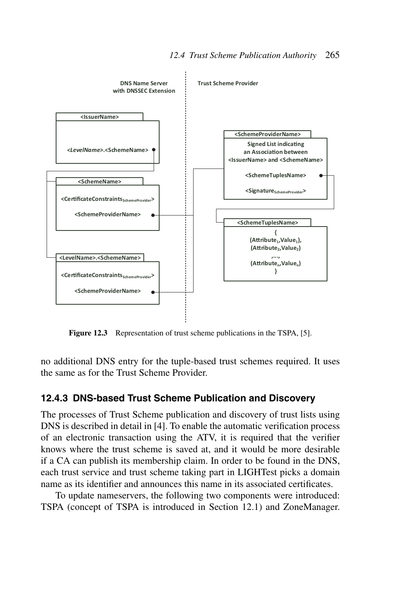

**Figure 12.3** Representation of trust scheme publications in the TSPA, [5].

no additional DNS entry for the tuple-based trust schemes required. It uses the same as for the Trust Scheme Provider.

#### **12.4.3 DNS-based Trust Scheme Publication and Discovery**

The processes of Trust Scheme publication and discovery of trust lists using DNS is described in detail in [4]. To enable the automatic verification process of an electronic transaction using the ATV, it is required that the verifier knows where the trust scheme is saved at, and it would be more desirable if a CA can publish its membership claim. In order to be found in the DNS, each trust service and trust scheme taking part in LIGHTest picks a domain name as its identifier and announces this name in its associated certificates.

To update nameservers, the following two components were introduced: TSPA (concept of TSPA is introduced in Section 12.1) and ZoneManager.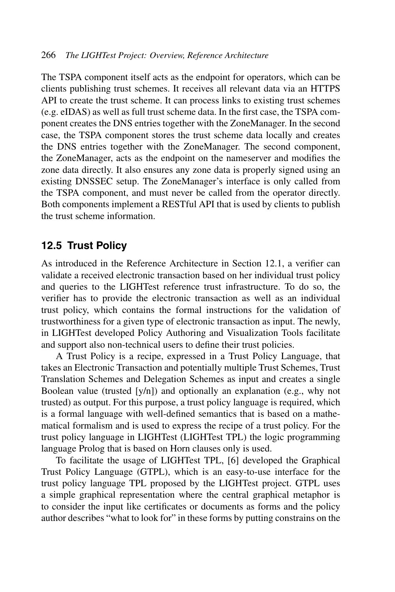The TSPA component itself acts as the endpoint for operators, which can be clients publishing trust schemes. It receives all relevant data via an HTTPS API to create the trust scheme. It can process links to existing trust schemes (e.g. eIDAS) as well as full trust scheme data. In the first case, the TSPA component creates the DNS entries together with the ZoneManager. In the second case, the TSPA component stores the trust scheme data locally and creates the DNS entries together with the ZoneManager. The second component, the ZoneManager, acts as the endpoint on the nameserver and modifies the zone data directly. It also ensures any zone data is properly signed using an existing DNSSEC setup. The ZoneManager's interface is only called from the TSPA component, and must never be called from the operator directly. Both components implement a RESTful API that is used by clients to publish the trust scheme information.

# **12.5 Trust Policy**

As introduced in the Reference Architecture in Section 12.1, a verifier can validate a received electronic transaction based on her individual trust policy and queries to the LIGHTest reference trust infrastructure. To do so, the verifier has to provide the electronic transaction as well as an individual trust policy, which contains the formal instructions for the validation of trustworthiness for a given type of electronic transaction as input. The newly, in LIGHTest developed Policy Authoring and Visualization Tools facilitate and support also non-technical users to define their trust policies.

A Trust Policy is a recipe, expressed in a Trust Policy Language, that takes an Electronic Transaction and potentially multiple Trust Schemes, Trust Translation Schemes and Delegation Schemes as input and creates a single Boolean value (trusted [y/n]) and optionally an explanation (e.g., why not trusted) as output. For this purpose, a trust policy language is required, which is a formal language with well-defined semantics that is based on a mathematical formalism and is used to express the recipe of a trust policy. For the trust policy language in LIGHTest (LIGHTest TPL) the logic programming language Prolog that is based on Horn clauses only is used.

To facilitate the usage of LIGHTest TPL, [6] developed the Graphical Trust Policy Language (GTPL), which is an easy-to-use interface for the trust policy language TPL proposed by the LIGHTest project. GTPL uses a simple graphical representation where the central graphical metaphor is to consider the input like certificates or documents as forms and the policy author describes "what to look for" in these forms by putting constrains on the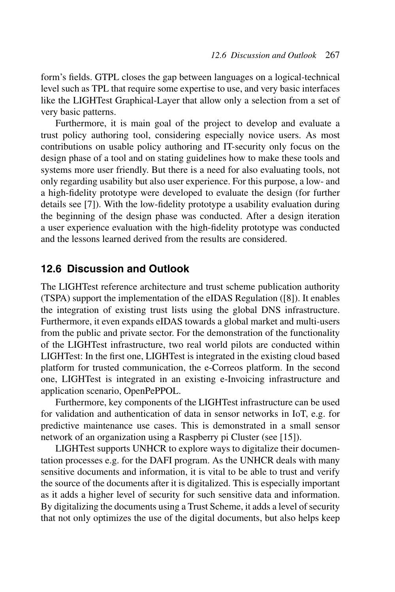form's fields. GTPL closes the gap between languages on a logical-technical level such as TPL that require some expertise to use, and very basic interfaces like the LIGHTest Graphical-Layer that allow only a selection from a set of very basic patterns.

Furthermore, it is main goal of the project to develop and evaluate a trust policy authoring tool, considering especially novice users. As most contributions on usable policy authoring and IT-security only focus on the design phase of a tool and on stating guidelines how to make these tools and systems more user friendly. But there is a need for also evaluating tools, not only regarding usability but also user experience. For this purpose, a low- and a high-fidelity prototype were developed to evaluate the design (for further details see [7]). With the low-fidelity prototype a usability evaluation during the beginning of the design phase was conducted. After a design iteration a user experience evaluation with the high-fidelity prototype was conducted and the lessons learned derived from the results are considered.

# **12.6 Discussion and Outlook**

The LIGHTest reference architecture and trust scheme publication authority (TSPA) support the implementation of the eIDAS Regulation ([8]). It enables the integration of existing trust lists using the global DNS infrastructure. Furthermore, it even expands eIDAS towards a global market and multi-users from the public and private sector. For the demonstration of the functionality of the LIGHTest infrastructure, two real world pilots are conducted within LIGHTest: In the first one, LIGHTest is integrated in the existing cloud based platform for trusted communication, the e-Correos platform. In the second one, LIGHTest is integrated in an existing e-Invoicing infrastructure and application scenario, OpenPePPOL.

Furthermore, key components of the LIGHTest infrastructure can be used for validation and authentication of data in sensor networks in IoT, e.g. for predictive maintenance use cases. This is demonstrated in a small sensor network of an organization using a Raspberry pi Cluster (see [15]).

LIGHTest supports UNHCR to explore ways to digitalize their documentation processes e.g. for the DAFI program. As the UNHCR deals with many sensitive documents and information, it is vital to be able to trust and verify the source of the documents after it is digitalized. This is especially important as it adds a higher level of security for such sensitive data and information. By digitalizing the documents using a Trust Scheme, it adds a level of security that not only optimizes the use of the digital documents, but also helps keep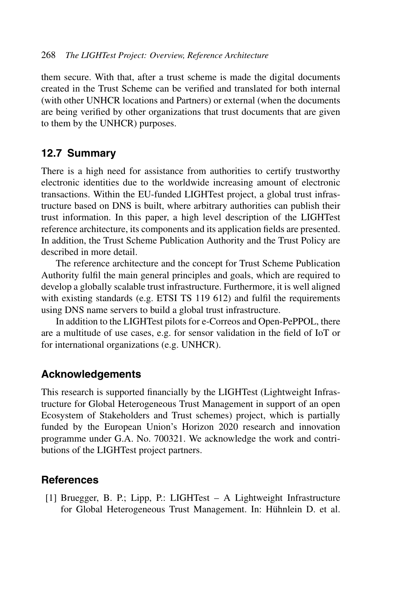them secure. With that, after a trust scheme is made the digital documents created in the Trust Scheme can be verified and translated for both internal (with other UNHCR locations and Partners) or external (when the documents are being verified by other organizations that trust documents that are given to them by the UNHCR) purposes.

# **12.7 Summary**

There is a high need for assistance from authorities to certify trustworthy electronic identities due to the worldwide increasing amount of electronic transactions. Within the EU-funded LIGHTest project, a global trust infrastructure based on DNS is built, where arbitrary authorities can publish their trust information. In this paper, a high level description of the LIGHTest reference architecture, its components and its application fields are presented. In addition, the Trust Scheme Publication Authority and the Trust Policy are described in more detail.

The reference architecture and the concept for Trust Scheme Publication Authority fulfil the main general principles and goals, which are required to develop a globally scalable trust infrastructure. Furthermore, it is well aligned with existing standards (e.g. ETSI TS 119 612) and fulfil the requirements using DNS name servers to build a global trust infrastructure.

In addition to the LIGHTest pilots for e-Correos and Open-PePPOL, there are a multitude of use cases, e.g. for sensor validation in the field of IoT or for international organizations (e.g. UNHCR).

## **Acknowledgements**

This research is supported financially by the LIGHTest (Lightweight Infrastructure for Global Heterogeneous Trust Management in support of an open Ecosystem of Stakeholders and Trust schemes) project, which is partially funded by the European Union's Horizon 2020 research and innovation programme under G.A. No. 700321. We acknowledge the work and contributions of the LIGHTest project partners.

# **References**

[1] Bruegger, B. P.; Lipp, P.: LIGHTest – A Lightweight Infrastructure for Global Heterogeneous Trust Management. In: Hühnlein D. et al.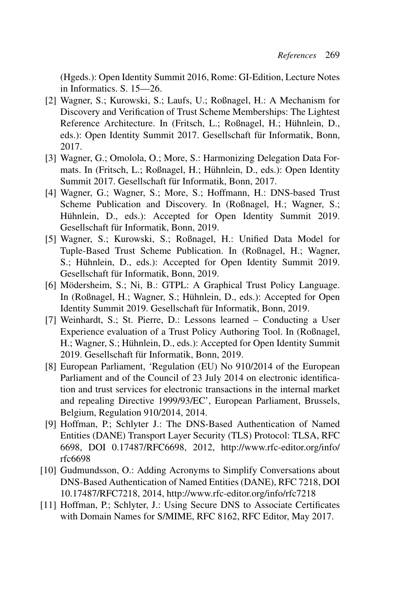(Hgeds.): Open Identity Summit 2016, Rome: GI-Edition, Lecture Notes in Informatics. S. 15—26.

- [2] Wagner, S.; Kurowski, S.; Laufs, U.; Roßnagel, H.: A Mechanism for Discovery and Verification of Trust Scheme Memberships: The Lightest Reference Architecture. In (Fritsch, L.; Roßnagel, H.; Hühnlein, D., eds.): Open Identity Summit 2017. Gesellschaft für Informatik, Bonn, 2017.
- [3] Wagner, G.; Omolola, O.; More, S.: Harmonizing Delegation Data Formats. In (Fritsch, L.; Roßnagel, H.; Hühnlein, D., eds.): Open Identity Summit 2017. Gesellschaft für Informatik, Bonn, 2017.
- [4] Wagner, G.; Wagner, S.; More, S.; Hoffmann, H.: DNS-based Trust Scheme Publication and Discovery. In (Roßnagel, H.; Wagner, S.; Hühnlein, D., eds.): Accepted for Open Identity Summit 2019. Gesellschaft für Informatik, Bonn, 2019.
- [5] Wagner, S.; Kurowski, S.; Roßnagel, H.: Unified Data Model for Tuple-Based Trust Scheme Publication. In (Roßnagel, H.; Wagner, S.; Hühnlein, D., eds.): Accepted for Open Identity Summit 2019. Gesellschaft für Informatik, Bonn, 2019.
- [6] Mödersheim, S.; Ni, B.: GTPL: A Graphical Trust Policy Language. In (Roßnagel, H.; Wagner, S.; Hühnlein, D., eds.): Accepted for Open Identity Summit 2019. Gesellschaft für Informatik, Bonn, 2019.
- [7] Weinhardt, S.; St. Pierre, D.: Lessons learned Conducting a User Experience evaluation of a Trust Policy Authoring Tool. In (Roßnagel, H.; Wagner, S.; Hühnlein, D., eds.): Accepted for Open Identity Summit 2019. Gesellschaft für Informatik, Bonn, 2019.
- [8] European Parliament, 'Regulation (EU) No 910/2014 of the European Parliament and of the Council of 23 July 2014 on electronic identification and trust services for electronic transactions in the internal market and repealing Directive 1999/93/EC', European Parliament, Brussels, Belgium, Regulation 910/2014, 2014.
- [9] Hoffman, P.; Schlyter J.: The DNS-Based Authentication of Named Entities (DANE) Transport Layer Security (TLS) Protocol: TLSA, RFC 6698, DOI 0.17487/RFC6698, 2012, http://www.rfc-editor.org/info/ rfc6698
- [10] Gudmundsson, O.: Adding Acronyms to Simplify Conversations about DNS-Based Authentication of Named Entities (DANE), RFC 7218, DOI 10.17487/RFC7218, 2014, http://www.rfc-editor.org/info/rfc7218
- [11] Hoffman, P.; Schlyter, J.: Using Secure DNS to Associate Certificates with Domain Names for S/MIME, RFC 8162, RFC Editor, May 2017.